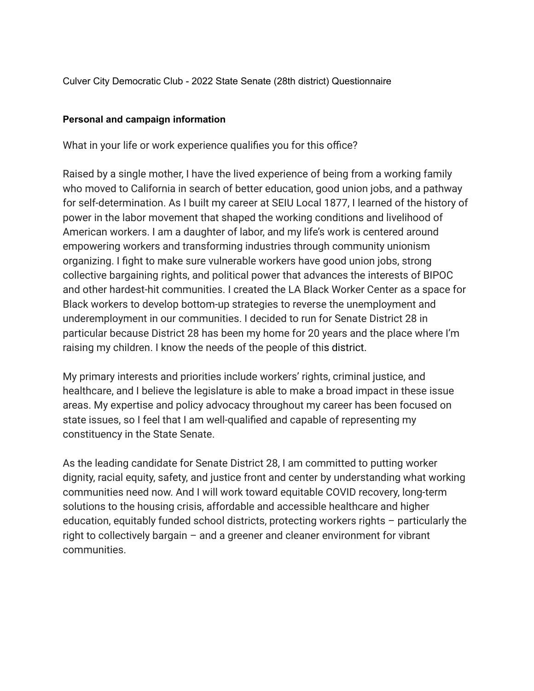Culver City Democratic Club - 2022 State Senate (28th district) Questionnaire

## **Personal and campaign information**

What in your life or work experience qualifies you for this office?

Raised by a single mother, I have the lived experience of being from a working family who moved to California in search of better education, good union jobs, and a pathway for self-determination. As I built my career at SEIU Local 1877, I learned of the history of power in the labor movement that shaped the working conditions and livelihood of American workers. I am a daughter of labor, and my life's work is centered around empowering workers and transforming industries through community unionism organizing. I fight to make sure vulnerable workers have good union jobs, strong collective bargaining rights, and political power that advances the interests of BIPOC and other hardest-hit communities. I created the LA Black Worker Center as a space for Black workers to develop bottom-up strategies to reverse the unemployment and underemployment in our communities. I decided to run for Senate District 28 in particular because District 28 has been my home for 20 years and the place where I'm raising my children. I know the needs of the people of this district.

My primary interests and priorities include workers' rights, criminal justice, and healthcare, and I believe the legislature is able to make a broad impact in these issue areas. My expertise and policy advocacy throughout my career has been focused on state issues, so I feel that I am well-qualified and capable of representing my constituency in the State Senate.

As the leading candidate for Senate District 28, I am committed to putting worker dignity, racial equity, safety, and justice front and center by understanding what working communities need now. And I will work toward equitable COVID recovery, long-term solutions to the housing crisis, affordable and accessible healthcare and higher education, equitably funded school districts, protecting workers rights – particularly the right to collectively bargain – and a greener and cleaner environment for vibrant communities.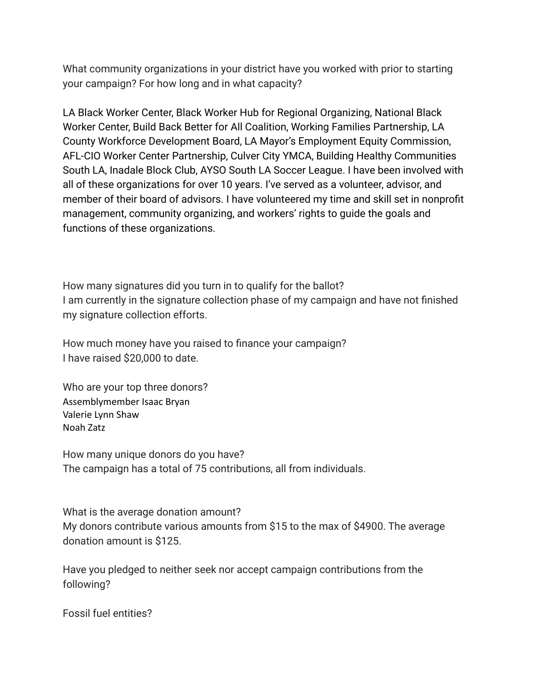What community organizations in your district have you worked with prior to starting your campaign? For how long and in what capacity?

LA Black Worker Center, Black Worker Hub for Regional Organizing, National Black Worker Center, Build Back Better for All Coalition, Working Families Partnership, LA County Workforce Development Board, LA Mayor's Employment Equity Commission, AFL-CIO Worker Center Partnership, Culver City YMCA, Building Healthy Communities South LA, Inadale Block Club, AYSO South LA Soccer League. I have been involved with all of these organizations for over 10 years. I've served as a volunteer, advisor, and member of their board of advisors. I have volunteered my time and skill set in nonprofit management, community organizing, and workers' rights to guide the goals and functions of these organizations.

How many signatures did you turn in to qualify for the ballot? I am currently in the signature collection phase of my campaign and have not finished my signature collection efforts.

How much money have you raised to finance your campaign? I have raised \$20,000 to date.

Who are your top three donors? Assemblymember Isaac Bryan Valerie Lynn Shaw Noah Zatz

How many unique donors do you have? The campaign has a total of 75 contributions, all from individuals.

What is the average donation amount? My donors contribute various amounts from \$15 to the max of \$4900. The average donation amount is \$125.

Have you pledged to neither seek nor accept campaign contributions from the following?

Fossil fuel entities?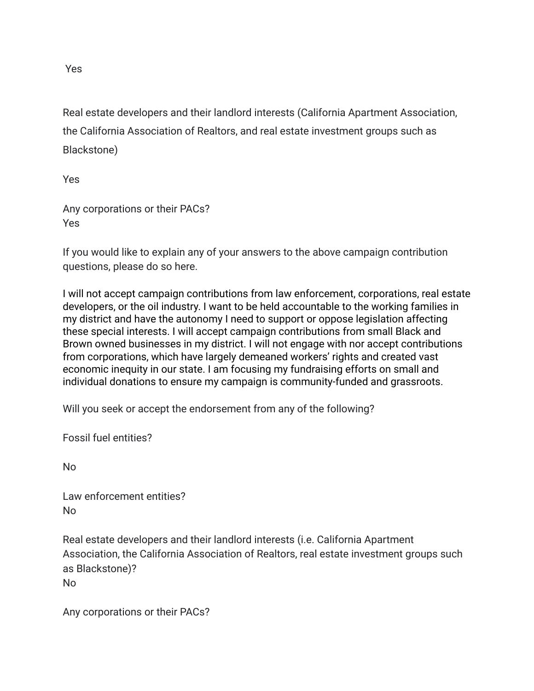Real estate developers and their landlord interests (California Apartment Association, the California Association of Realtors, and real estate investment groups such as Blackstone)

Yes

Any corporations or their PACs? Yes

If you would like to explain any of your answers to the above campaign contribution questions, please do so here.

I will not accept campaign contributions from law enforcement, corporations, real estate developers, or the oil industry. I want to be held accountable to the working families in my district and have the autonomy I need to support or oppose legislation affecting these special interests. I will accept campaign contributions from small Black and Brown owned businesses in my district. I will not engage with nor accept contributions from corporations, which have largely demeaned workers' rights and created vast economic inequity in our state. I am focusing my fundraising efforts on small and individual donations to ensure my campaign is community-funded and grassroots.

Will you seek or accept the endorsement from any of the following?

Fossil fuel entities?

No

Law enforcement entities? No

Real estate developers and their landlord interests (i.e. California Apartment Association, the California Association of Realtors, real estate investment groups such as Blackstone)? No

Any corporations or their PACs?

Yes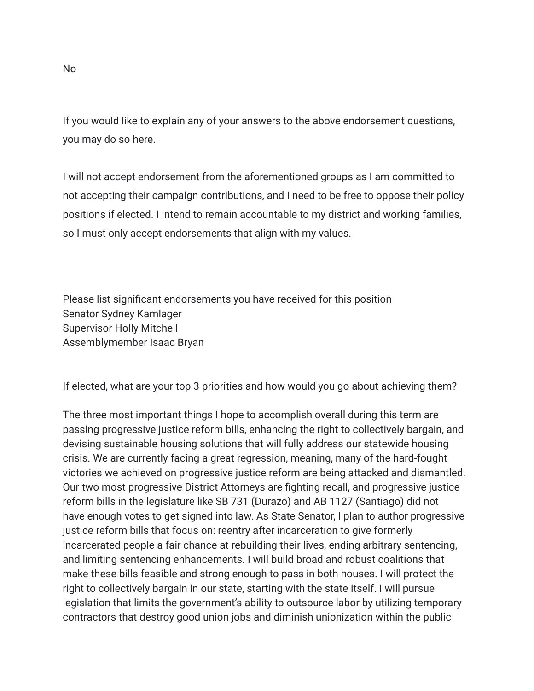If you would like to explain any of your answers to the above endorsement questions, you may do so here.

I will not accept endorsement from the aforementioned groups as I am committed to not accepting their campaign contributions, and I need to be free to oppose their policy positions if elected. I intend to remain accountable to my district and working families, so I must only accept endorsements that align with my values.

Please list significant endorsements you have received for this position Senator Sydney Kamlager Supervisor Holly Mitchell Assemblymember Isaac Bryan

If elected, what are your top 3 priorities and how would you go about achieving them?

The three most important things I hope to accomplish overall during this term are passing progressive justice reform bills, enhancing the right to collectively bargain, and devising sustainable housing solutions that will fully address our statewide housing crisis. We are currently facing a great regression, meaning, many of the hard-fought victories we achieved on progressive justice reform are being attacked and dismantled. Our two most progressive District Attorneys are fighting recall, and progressive justice reform bills in the legislature like SB 731 (Durazo) and AB 1127 (Santiago) did not have enough votes to get signed into law. As State Senator, I plan to author progressive justice reform bills that focus on: reentry after incarceration to give formerly incarcerated people a fair chance at rebuilding their lives, ending arbitrary sentencing, and limiting sentencing enhancements. I will build broad and robust coalitions that make these bills feasible and strong enough to pass in both houses. I will protect the right to collectively bargain in our state, starting with the state itself. I will pursue legislation that limits the government's ability to outsource labor by utilizing temporary contractors that destroy good union jobs and diminish unionization within the public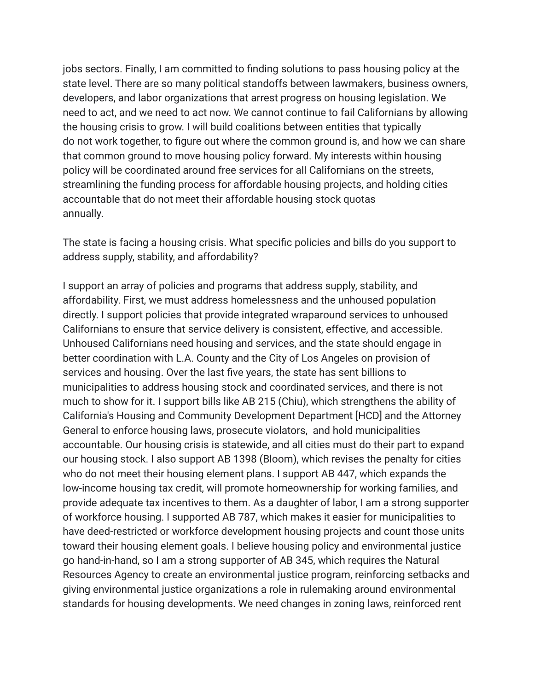jobs sectors. Finally, I am committed to finding solutions to pass housing policy at the state level. There are so many political standoffs between lawmakers, business owners, developers, and labor organizations that arrest progress on housing legislation. We need to act, and we need to act now. We cannot continue to fail Californians by allowing the housing crisis to grow. I will build coalitions between entities that typically do not work together, to figure out where the common ground is, and how we can share that common ground to move housing policy forward. My interests within housing policy will be coordinated around free services for all Californians on the streets, streamlining the funding process for affordable housing projects, and holding cities accountable that do not meet their affordable housing stock quotas annually.

The state is facing a housing crisis. What specific policies and bills do you support to address supply, stability, and affordability?

I support an array of policies and programs that address supply, stability, and affordability. First, we must address homelessness and the unhoused population directly. I support policies that provide integrated wraparound services to unhoused Californians to ensure that service delivery is consistent, effective, and accessible. Unhoused Californians need housing and services, and the state should engage in better coordination with L.A. County and the City of Los Angeles on provision of services and housing. Over the last five years, the state has sent billions to municipalities to address housing stock and coordinated services, and there is not much to show for it. I support bills like AB 215 (Chiu), which strengthens the ability of California's Housing and Community Development Department [HCD] and the Attorney General to enforce housing laws, prosecute violators, and hold municipalities accountable. Our housing crisis is statewide, and all cities must do their part to expand our housing stock. I also support AB 1398 (Bloom), which revises the penalty for cities who do not meet their housing element plans. I support AB 447, which expands the low-income housing tax credit, will promote homeownership for working families, and provide adequate tax incentives to them. As a daughter of labor, I am a strong supporter of workforce housing. I supported AB 787, which makes it easier for municipalities to have deed-restricted or workforce development housing projects and count those units toward their housing element goals. I believe housing policy and environmental justice go hand-in-hand, so I am a strong supporter of AB 345, which requires the Natural Resources Agency to create an environmental justice program, reinforcing setbacks and giving environmental justice organizations a role in rulemaking around environmental standards for housing developments. We need changes in zoning laws, reinforced rent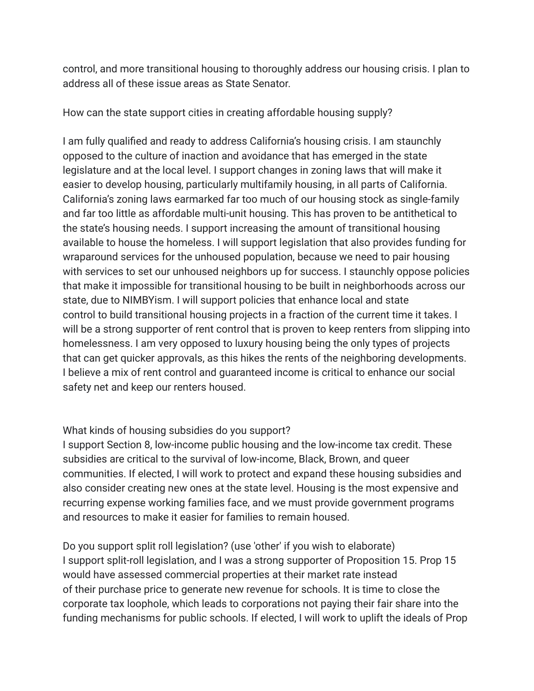control, and more transitional housing to thoroughly address our housing crisis. I plan to address all of these issue areas as State Senator.

How can the state support cities in creating affordable housing supply?

I am fully qualified and ready to address California's housing crisis. I am staunchly opposed to the culture of inaction and avoidance that has emerged in the state legislature and at the local level. I support changes in zoning laws that will make it easier to develop housing, particularly multifamily housing, in all parts of California. California's zoning laws earmarked far too much of our housing stock as single-family and far too little as affordable multi-unit housing. This has proven to be antithetical to the state's housing needs. I support increasing the amount of transitional housing available to house the homeless. I will support legislation that also provides funding for wraparound services for the unhoused population, because we need to pair housing with services to set our unhoused neighbors up for success. I staunchly oppose policies that make it impossible for transitional housing to be built in neighborhoods across our state, due to NIMBYism. I will support policies that enhance local and state control to build transitional housing projects in a fraction of the current time it takes. I will be a strong supporter of rent control that is proven to keep renters from slipping into homelessness. I am very opposed to luxury housing being the only types of projects that can get quicker approvals, as this hikes the rents of the neighboring developments. I believe a mix of rent control and guaranteed income is critical to enhance our social safety net and keep our renters housed.

## What kinds of housing subsidies do you support?

I support Section 8, low-income public housing and the low-income tax credit. These subsidies are critical to the survival of low-income, Black, Brown, and queer communities. If elected, I will work to protect and expand these housing subsidies and also consider creating new ones at the state level. Housing is the most expensive and recurring expense working families face, and we must provide government programs and resources to make it easier for families to remain housed.

Do you support split roll legislation? (use 'other' if you wish to elaborate) I support split-roll legislation, and I was a strong supporter of Proposition 15. Prop 15 would have assessed commercial properties at their market rate instead of their purchase price to generate new revenue for schools. It is time to close the corporate tax loophole, which leads to corporations not paying their fair share into the funding mechanisms for public schools. If elected, I will work to uplift the ideals of Prop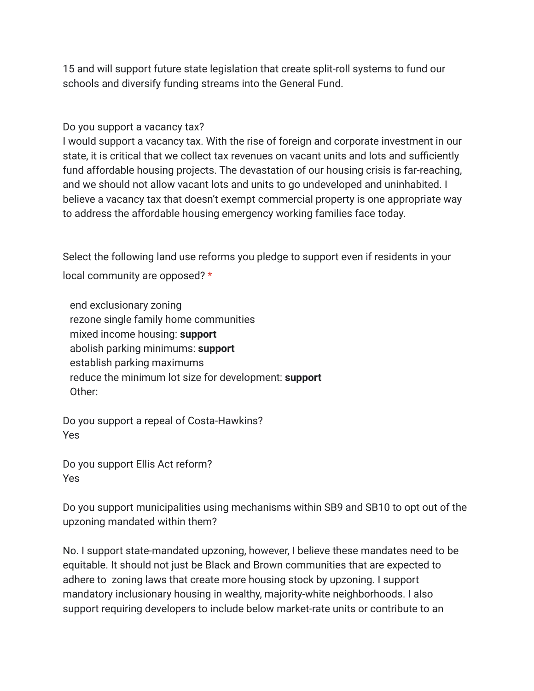15 and will support future state legislation that create split-roll systems to fund our schools and diversify funding streams into the General Fund.

Do you support a vacancy tax?

I would support a vacancy tax. With the rise of foreign and corporate investment in our state, it is critical that we collect tax revenues on vacant units and lots and sufficiently fund affordable housing projects. The devastation of our housing crisis is far-reaching, and we should not allow vacant lots and units to go undeveloped and uninhabited. I believe a vacancy tax that doesn't exempt commercial property is one appropriate way to address the affordable housing emergency working families face today.

Select the following land use reforms you pledge to support even if residents in your local community are opposed? \*

end exclusionary zoning rezone single family home communities mixed income housing: **support** abolish parking minimums: **support** establish parking maximums reduce the minimum lot size for development: **support** Other:

Do you support a repeal of Costa-Hawkins? Yes

Do you support Ellis Act reform? Yes

Do you support municipalities using mechanisms within SB9 and SB10 to opt out of the upzoning mandated within them?

No. I support state-mandated upzoning, however, I believe these mandates need to be equitable. It should not just be Black and Brown communities that are expected to adhere to zoning laws that create more housing stock by upzoning. I support mandatory inclusionary housing in wealthy, majority-white neighborhoods. I also support requiring developers to include below market-rate units or contribute to an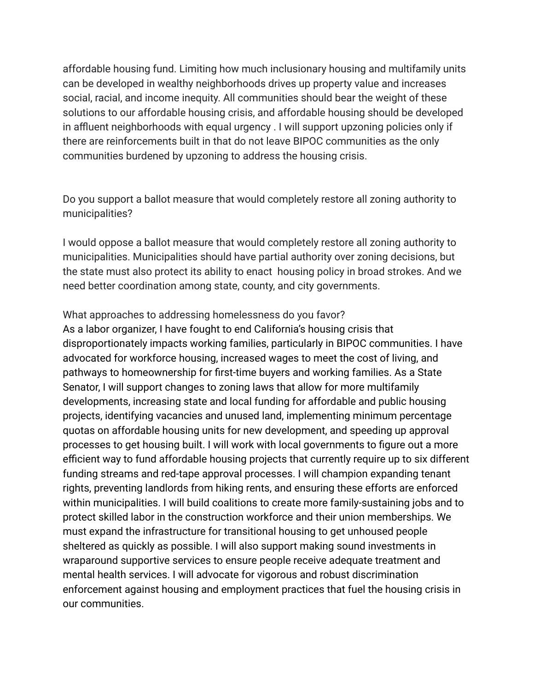affordable housing fund. Limiting how much inclusionary housing and multifamily units can be developed in wealthy neighborhoods drives up property value and increases social, racial, and income inequity. All communities should bear the weight of these solutions to our affordable housing crisis, and affordable housing should be developed in affluent neighborhoods with equal urgency . I will support upzoning policies only if there are reinforcements built in that do not leave BIPOC communities as the only communities burdened by upzoning to address the housing crisis.

Do you support a ballot measure that would completely restore all zoning authority to municipalities?

I would oppose a ballot measure that would completely restore all zoning authority to municipalities. Municipalities should have partial authority over zoning decisions, but the state must also protect its ability to enact housing policy in broad strokes. And we need better coordination among state, county, and city governments.

What approaches to addressing homelessness do you favor? As a labor organizer, I have fought to end California's housing crisis that disproportionately impacts working families, particularly in BIPOC communities. I have advocated for workforce housing, increased wages to meet the cost of living, and pathways to homeownership for first-time buyers and working families. As a State Senator, I will support changes to zoning laws that allow for more multifamily developments, increasing state and local funding for affordable and public housing projects, identifying vacancies and unused land, implementing minimum percentage quotas on affordable housing units for new development, and speeding up approval processes to get housing built. I will work with local governments to figure out a more efficient way to fund affordable housing projects that currently require up to six different funding streams and red-tape approval processes. I will champion expanding tenant rights, preventing landlords from hiking rents, and ensuring these efforts are enforced within municipalities. I will build coalitions to create more family-sustaining jobs and to protect skilled labor in the construction workforce and their union memberships. We must expand the infrastructure for transitional housing to get unhoused people sheltered as quickly as possible. I will also support making sound investments in wraparound supportive services to ensure people receive adequate treatment and mental health services. I will advocate for vigorous and robust discrimination enforcement against housing and employment practices that fuel the housing crisis in our communities.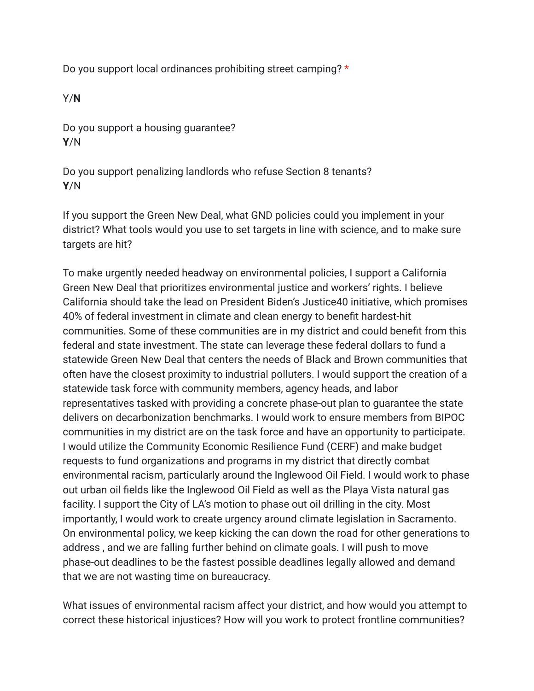Do you support local ordinances prohibiting street camping? \*

Y/**N**

Do you support a housing guarantee? **Y**/N

Do you support penalizing landlords who refuse Section 8 tenants? **Y**/N

If you support the Green New Deal, what GND policies could you implement in your district? What tools would you use to set targets in line with science, and to make sure targets are hit?

To make urgently needed headway on environmental policies, I support a California Green New Deal that prioritizes environmental justice and workers' rights. I believe California should take the lead on President Biden's Justice40 initiative, which promises 40% of federal investment in climate and clean energy to benefit hardest-hit communities. Some of these communities are in my district and could benefit from this federal and state investment. The state can leverage these federal dollars to fund a statewide Green New Deal that centers the needs of Black and Brown communities that often have the closest proximity to industrial polluters. I would support the creation of a statewide task force with community members, agency heads, and labor representatives tasked with providing a concrete phase-out plan to guarantee the state delivers on decarbonization benchmarks. I would work to ensure members from BIPOC communities in my district are on the task force and have an opportunity to participate. I would utilize the Community Economic Resilience Fund (CERF) and make budget requests to fund organizations and programs in my district that directly combat environmental racism, particularly around the Inglewood Oil Field. I would work to phase out urban oil fields like the Inglewood Oil Field as well as the Playa Vista natural gas facility. I support the City of LA's motion to phase out oil drilling in the city. Most importantly, I would work to create urgency around climate legislation in Sacramento. On environmental policy, we keep kicking the can down the road for other generations to address , and we are falling further behind on climate goals. I will push to move phase-out deadlines to be the fastest possible deadlines legally allowed and demand that we are not wasting time on bureaucracy.

What issues of environmental racism affect your district, and how would you attempt to correct these historical injustices? How will you work to protect frontline communities?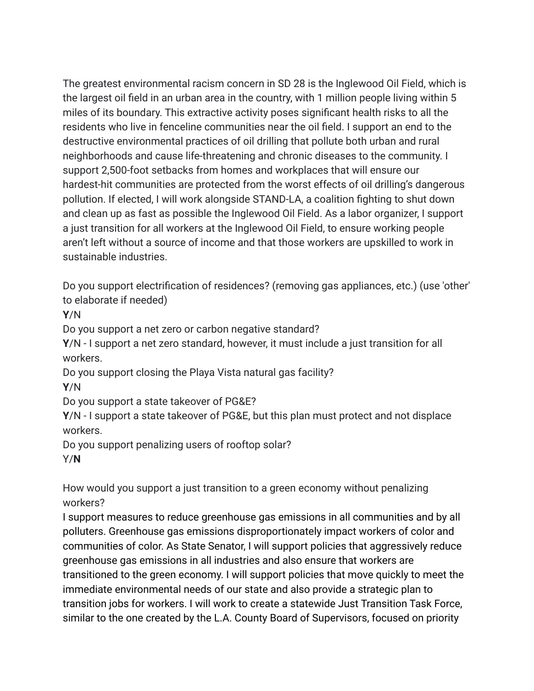The greatest environmental racism concern in SD 28 is the Inglewood Oil Field, which is the largest oil field in an urban area in the country, with 1 million people living within 5 miles of its boundary. This extractive activity poses significant health risks to all the residents who live in fenceline communities near the oil field. I support an end to the destructive environmental practices of oil drilling that pollute both urban and rural neighborhoods and cause life-threatening and chronic diseases to the community. I support 2,500-foot setbacks from homes and workplaces that will ensure our hardest-hit communities are protected from the worst effects of oil drilling's dangerous pollution. If elected, I will work alongside STAND-LA, a coalition fighting to shut down and clean up as fast as possible the Inglewood Oil Field. As a labor organizer, I support a just transition for all workers at the Inglewood Oil Field, to ensure working people aren't left without a source of income and that those workers are upskilled to work in sustainable industries.

Do you support electrification of residences? (removing gas appliances, etc.) (use 'other' to elaborate if needed)

**Y**/N

Do you support a net zero or carbon negative standard?

**Y**/N - I support a net zero standard, however, it must include a just transition for all workers.

Do you support closing the Playa Vista natural gas facility?

**Y**/N

Do you support a state takeover of PG&E?

**Y**/N - I support a state takeover of PG&E, but this plan must protect and not displace workers.

Do you support penalizing users of rooftop solar?

Y/**N**

How would you support a just transition to a green economy without penalizing workers?

I support measures to reduce greenhouse gas emissions in all communities and by all polluters. Greenhouse gas emissions disproportionately impact workers of color and communities of color. As State Senator, I will support policies that aggressively reduce greenhouse gas emissions in all industries and also ensure that workers are transitioned to the green economy. I will support policies that move quickly to meet the immediate environmental needs of our state and also provide a strategic plan to transition jobs for workers. I will work to create a statewide Just Transition Task Force, similar to the one created by the L.A. County Board of Supervisors, focused on priority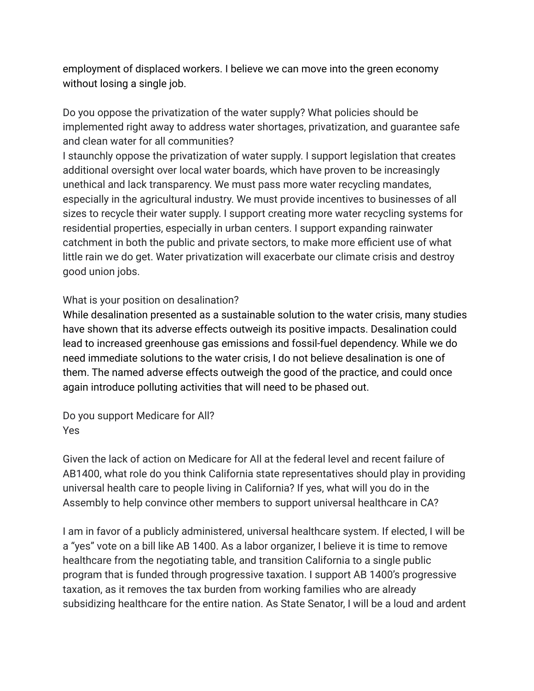employment of displaced workers. I believe we can move into the green economy without losing a single job.

Do you oppose the privatization of the water supply? What policies should be implemented right away to address water shortages, privatization, and guarantee safe and clean water for all communities?

I staunchly oppose the privatization of water supply. I support legislation that creates additional oversight over local water boards, which have proven to be increasingly unethical and lack transparency. We must pass more water recycling mandates, especially in the agricultural industry. We must provide incentives to businesses of all sizes to recycle their water supply. I support creating more water recycling systems for residential properties, especially in urban centers. I support expanding rainwater catchment in both the public and private sectors, to make more efficient use of what little rain we do get. Water privatization will exacerbate our climate crisis and destroy good union jobs.

## What is your position on desalination?

While desalination presented as a sustainable solution to the water crisis, many studies have shown that its adverse effects outweigh its positive impacts. Desalination could lead to increased greenhouse gas emissions and fossil-fuel dependency. While we do need immediate solutions to the water crisis, I do not believe desalination is one of them. The named adverse effects outweigh the good of the practice, and could once again introduce polluting activities that will need to be phased out.

Do you support Medicare for All? Yes

Given the lack of action on Medicare for All at the federal level and recent failure of AB1400, what role do you think California state representatives should play in providing universal health care to people living in California? If yes, what will you do in the Assembly to help convince other members to support universal healthcare in CA?

I am in favor of a publicly administered, universal healthcare system. If elected, I will be a "yes" vote on a bill like AB 1400. As a labor organizer, I believe it is time to remove healthcare from the negotiating table, and transition California to a single public program that is funded through progressive taxation. I support AB 1400's progressive taxation, as it removes the tax burden from working families who are already subsidizing healthcare for the entire nation. As State Senator, I will be a loud and ardent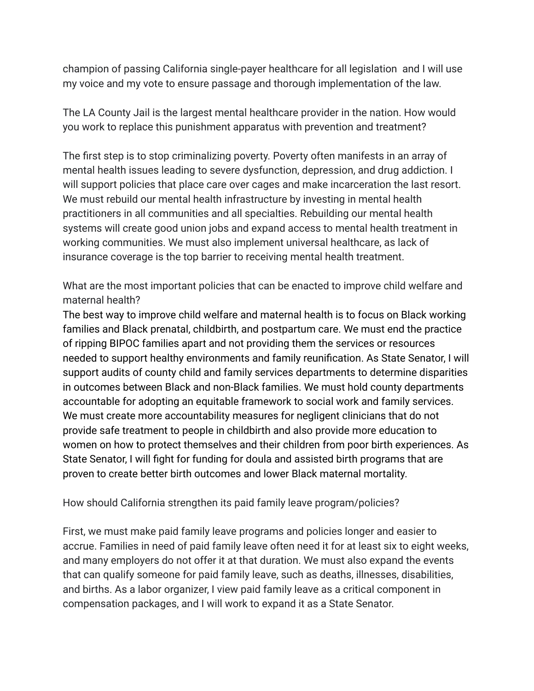champion of passing California single-payer healthcare for all legislation and I will use my voice and my vote to ensure passage and thorough implementation of the law.

The LA County Jail is the largest mental healthcare provider in the nation. How would you work to replace this punishment apparatus with prevention and treatment?

The first step is to stop criminalizing poverty. Poverty often manifests in an array of mental health issues leading to severe dysfunction, depression, and drug addiction. I will support policies that place care over cages and make incarceration the last resort. We must rebuild our mental health infrastructure by investing in mental health practitioners in all communities and all specialties. Rebuilding our mental health systems will create good union jobs and expand access to mental health treatment in working communities. We must also implement universal healthcare, as lack of insurance coverage is the top barrier to receiving mental health treatment.

What are the most important policies that can be enacted to improve child welfare and maternal health?

The best way to improve child welfare and maternal health is to focus on Black working families and Black prenatal, childbirth, and postpartum care. We must end the practice of ripping BIPOC families apart and not providing them the services or resources needed to support healthy environments and family reunification. As State Senator, I will support audits of county child and family services departments to determine disparities in outcomes between Black and non-Black families. We must hold county departments accountable for adopting an equitable framework to social work and family services. We must create more accountability measures for negligent clinicians that do not provide safe treatment to people in childbirth and also provide more education to women on how to protect themselves and their children from poor birth experiences. As State Senator, I will fight for funding for doula and assisted birth programs that are proven to create better birth outcomes and lower Black maternal mortality.

How should California strengthen its paid family leave program/policies?

First, we must make paid family leave programs and policies longer and easier to accrue. Families in need of paid family leave often need it for at least six to eight weeks, and many employers do not offer it at that duration. We must also expand the events that can qualify someone for paid family leave, such as deaths, illnesses, disabilities, and births. As a labor organizer, I view paid family leave as a critical component in compensation packages, and I will work to expand it as a State Senator.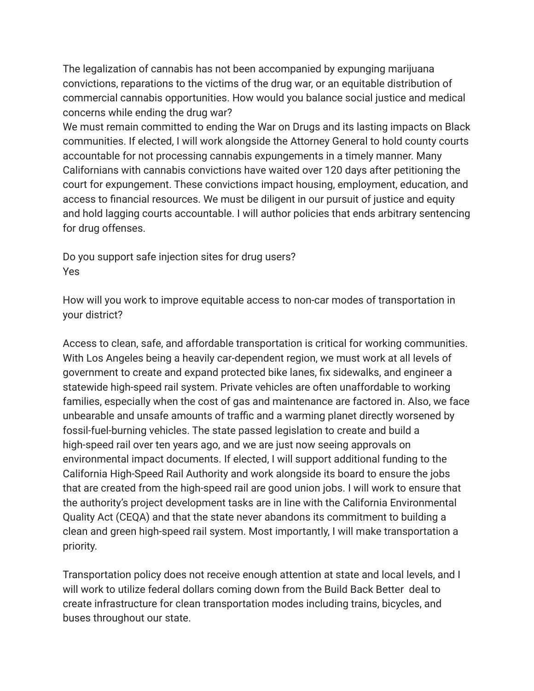The legalization of cannabis has not been accompanied by expunging marijuana convictions, reparations to the victims of the drug war, or an equitable distribution of commercial cannabis opportunities. How would you balance social justice and medical concerns while ending the drug war?

We must remain committed to ending the War on Drugs and its lasting impacts on Black communities. If elected, I will work alongside the Attorney General to hold county courts accountable for not processing cannabis expungements in a timely manner. Many Californians with cannabis convictions have waited over 120 days after petitioning the court for expungement. These convictions impact housing, employment, education, and access to financial resources. We must be diligent in our pursuit of justice and equity and hold lagging courts accountable. I will author policies that ends arbitrary sentencing for drug offenses.

Do you support safe injection sites for drug users? Yes

How will you work to improve equitable access to non-car modes of transportation in your district?

Access to clean, safe, and affordable transportation is critical for working communities. With Los Angeles being a heavily car-dependent region, we must work at all levels of government to create and expand protected bike lanes, fix sidewalks, and engineer a statewide high-speed rail system. Private vehicles are often unaffordable to working families, especially when the cost of gas and maintenance are factored in. Also, we face unbearable and unsafe amounts of traffic and a warming planet directly worsened by fossil-fuel-burning vehicles. The state passed legislation to create and build a high-speed rail over ten years ago, and we are just now seeing approvals on environmental impact documents. If elected, I will support additional funding to the California High-Speed Rail Authority and work alongside its board to ensure the jobs that are created from the high-speed rail are good union jobs. I will work to ensure that the authority's project development tasks are in line with the California Environmental Quality Act (CEQA) and that the state never abandons its commitment to building a clean and green high-speed rail system. Most importantly, I will make transportation a priority.

Transportation policy does not receive enough attention at state and local levels, and I will work to utilize federal dollars coming down from the Build Back Better deal to create infrastructure for clean transportation modes including trains, bicycles, and buses throughout our state.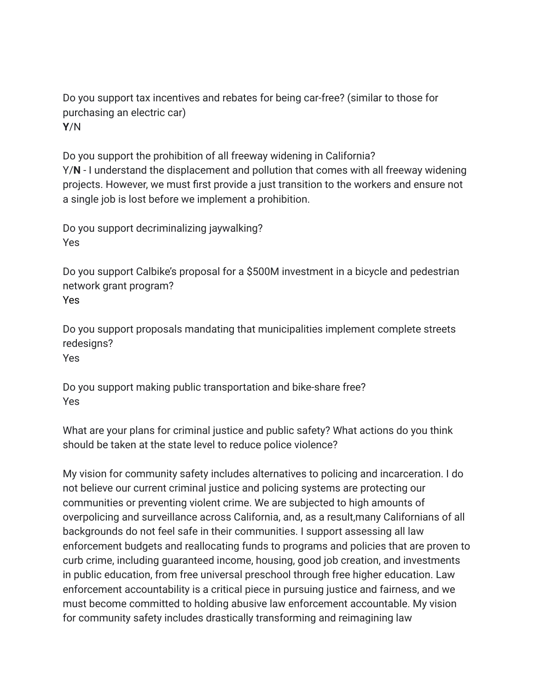Do you support tax incentives and rebates for being car-free? (similar to those for purchasing an electric car) **Y**/N

Do you support the prohibition of all freeway widening in California? Y/**N** - I understand the displacement and pollution that comes with all freeway widening projects. However, we must first provide a just transition to the workers and ensure not a single job is lost before we implement a prohibition.

Do you support decriminalizing jaywalking? Yes

Do you support Calbike's proposal for a \$500M investment in a bicycle and pedestrian network grant program? Yes

Do you support proposals mandating that municipalities implement complete streets redesigns?

Yes

Do you support making public transportation and bike-share free? Yes

What are your plans for criminal justice and public safety? What actions do you think should be taken at the state level to reduce police violence?

My vision for community safety includes alternatives to policing and incarceration. I do not believe our current criminal justice and policing systems are protecting our communities or preventing violent crime. We are subjected to high amounts of overpolicing and surveillance across California, and, as a result,many Californians of all backgrounds do not feel safe in their communities. I support assessing all law enforcement budgets and reallocating funds to programs and policies that are proven to curb crime, including guaranteed income, housing, good job creation, and investments in public education, from free universal preschool through free higher education. Law enforcement accountability is a critical piece in pursuing justice and fairness, and we must become committed to holding abusive law enforcement accountable. My vision for community safety includes drastically transforming and reimagining law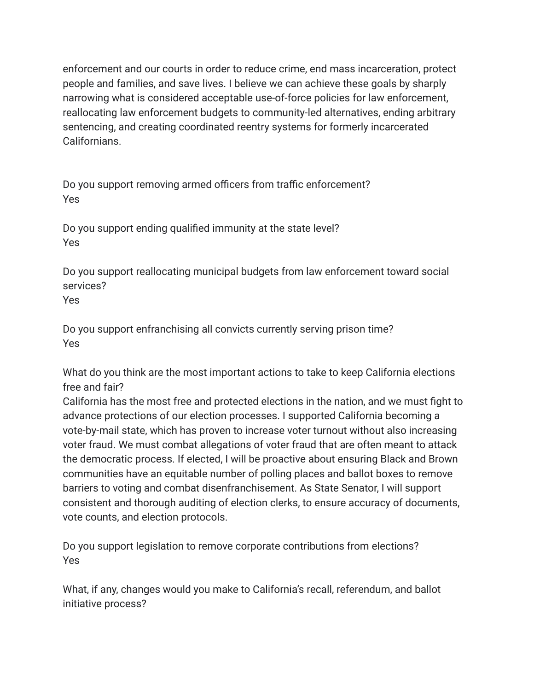enforcement and our courts in order to reduce crime, end mass incarceration, protect people and families, and save lives. I believe we can achieve these goals by sharply narrowing what is considered acceptable use-of-force policies for law enforcement, reallocating law enforcement budgets to community-led alternatives, ending arbitrary sentencing, and creating coordinated reentry systems for formerly incarcerated Californians.

Do you support removing armed officers from traffic enforcement? Yes

Do you support ending qualified immunity at the state level? Yes

Do you support reallocating municipal budgets from law enforcement toward social services?

Yes

Do you support enfranchising all convicts currently serving prison time? Yes

What do you think are the most important actions to take to keep California elections free and fair?

California has the most free and protected elections in the nation, and we must fight to advance protections of our election processes. I supported California becoming a vote-by-mail state, which has proven to increase voter turnout without also increasing voter fraud. We must combat allegations of voter fraud that are often meant to attack the democratic process. If elected, I will be proactive about ensuring Black and Brown communities have an equitable number of polling places and ballot boxes to remove barriers to voting and combat disenfranchisement. As State Senator, I will support consistent and thorough auditing of election clerks, to ensure accuracy of documents, vote counts, and election protocols.

Do you support legislation to remove corporate contributions from elections? Yes

What, if any, changes would you make to California's recall, referendum, and ballot initiative process?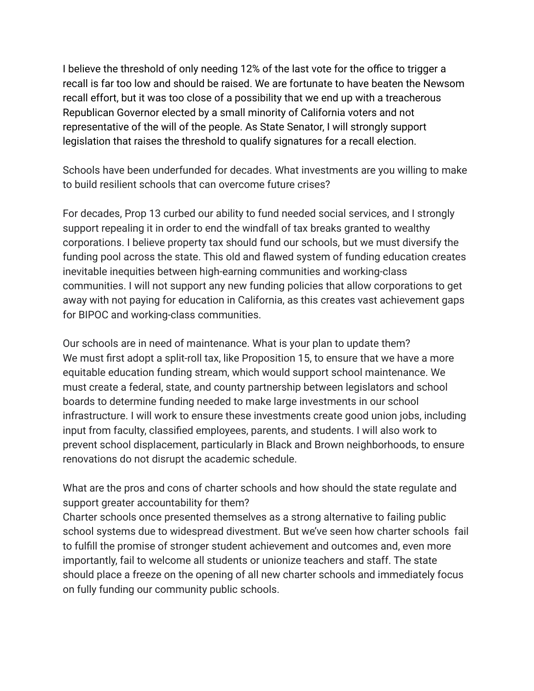I believe the threshold of only needing 12% of the last vote for the office to trigger a recall is far too low and should be raised. We are fortunate to have beaten the Newsom recall effort, but it was too close of a possibility that we end up with a treacherous Republican Governor elected by a small minority of California voters and not representative of the will of the people. As State Senator, I will strongly support legislation that raises the threshold to qualify signatures for a recall election.

Schools have been underfunded for decades. What investments are you willing to make to build resilient schools that can overcome future crises?

For decades, Prop 13 curbed our ability to fund needed social services, and I strongly support repealing it in order to end the windfall of tax breaks granted to wealthy corporations. I believe property tax should fund our schools, but we must diversify the funding pool across the state. This old and flawed system of funding education creates inevitable inequities between high-earning communities and working-class communities. I will not support any new funding policies that allow corporations to get away with not paying for education in California, as this creates vast achievement gaps for BIPOC and working-class communities.

Our schools are in need of maintenance. What is your plan to update them? We must first adopt a split-roll tax, like Proposition 15, to ensure that we have a more equitable education funding stream, which would support school maintenance. We must create a federal, state, and county partnership between legislators and school boards to determine funding needed to make large investments in our school infrastructure. I will work to ensure these investments create good union jobs, including input from faculty, classified employees, parents, and students. I will also work to prevent school displacement, particularly in Black and Brown neighborhoods, to ensure renovations do not disrupt the academic schedule.

What are the pros and cons of charter schools and how should the state regulate and support greater accountability for them?

Charter schools once presented themselves as a strong alternative to failing public school systems due to widespread divestment. But we've seen how charter schools fail to fulfill the promise of stronger student achievement and outcomes and, even more importantly, fail to welcome all students or unionize teachers and staff. The state should place a freeze on the opening of all new charter schools and immediately focus on fully funding our community public schools.